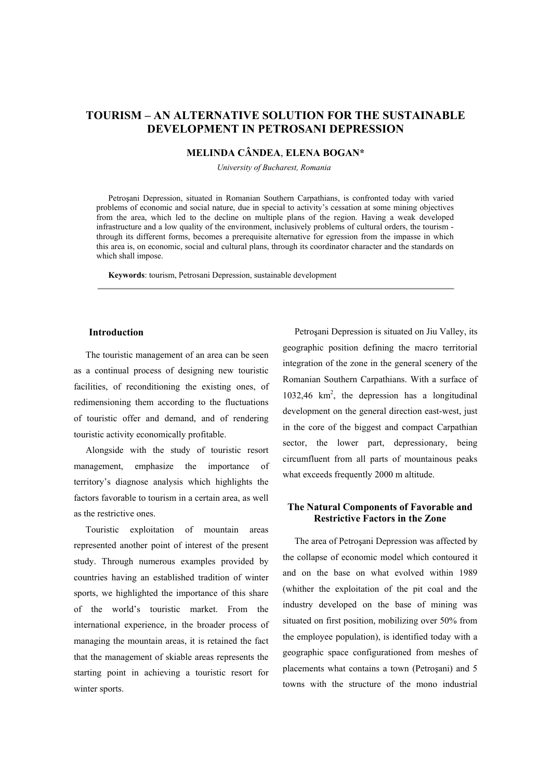# **TOURISM – AN ALTERNATIVE SOLUTION FOR THE SUSTAINABLE DEVELOPMENT IN PETROSANI DEPRESSION**

## **MELINDA CÂNDEA**, **ELENA BOGAN\***

*University of Bucharest, Romania*

Petro ani Depression, situated in Romanian Southern Carpathians, is confronted today with varied problems of economic and social nature, due in special to activitys cessation at some mining objectives from the area, which led to the decline on multiple plans of the region. Having a weak developed infrastructure and a low quality of the environment, inclusively problems of cultural orders, the tourism through its different forms, becomes a prerequisite alternative for egression from the impasse in which this area is, on economic, social and cultural plans, through its coordinator character and the standards on which shall impose.

**Keywords**: tourism, Petrosani Depression, sustainable development

#### **Introduction**

The touristic management of an area can be seen as a continual process of designing new touristic facilities, of reconditioning the existing ones, of redimensioning them according to the fluctuations of touristic offer and demand, and of rendering touristic activity economically profitable.

Alongside with the study of touristic resort management, emphasize the importance of territory's diagnose analysis which highlights the factors favorable to tourism in a certain area, as well as the restrictive ones.

Touristic exploitation of mountain areas represented another point of interest of the present study. Through numerous examples provided by countries having an established tradition of winter sports, we highlighted the importance of this share of the world's touristic market. From the international experience, in the broader process of managing the mountain areas, it is retained the fact that the management of skiable areas represents the starting point in achieving a touristic resort for winter sports.

Petrosani Depression is situated on Jiu Valley, its geographic position defining the macro territorial integration of the zone in the general scenery of the Romanian Southern Carpathians. With a surface of 1032,46 km2 , the depression has a longitudinal development on the general direction east-west, just in the core of the biggest and compact Carpathian sector, the lower part, depressionary, being circumfluent from all parts of mountainous peaks what exceeds frequently 2000 m altitude.

## **The Natural Components of Favorable and Restrictive Factors in the Zone**

The area of Petroșani Depression was affected by the collapse of economic model which contoured it and on the base on what evolved within 1989 (whither the exploitation of the pit coal and the industry developed on the base of mining was situated on first position, mobilizing over 50% from the employee population), is identified today with a geographic space configurationed from meshes of placements what contains a town (Petrosani) and 5 towns with the structure of the mono industrial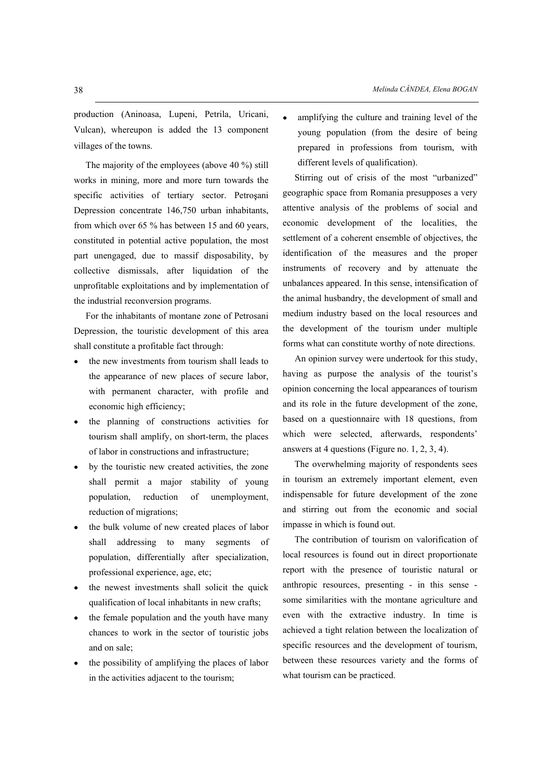production (Aninoasa, Lupeni, Petrila, Uricani, Vulcan), whereupon is added the 13 component villages of the towns.

The majority of the employees (above 40 %) still works in mining, more and more turn towards the specific activities of tertiary sector. Petroșani Depression concentrate 146,750 urban inhabitants, from which over 65 % has between 15 and 60 years, constituted in potential active population, the most part unengaged, due to massif disposability, by collective dismissals, after liquidation of the unprofitable exploitations and by implementation of the industrial reconversion programs.

For the inhabitants of montane zone of Petrosani Depression, the touristic development of this area shall constitute a profitable fact through:

- the new investments from tourism shall leads to the appearance of new places of secure labor, with permanent character, with profile and economic high efficiency;
- the planning of constructions activities for tourism shall amplify, on short-term, the places of labor in constructions and infrastructure;
- by the touristic new created activities, the zone shall permit a major stability of young population, reduction of unemployment, reduction of migrations;
- the bulk volume of new created places of labor shall addressing to many segments of population, differentially after specialization, professional experience, age, etc;
- the newest investments shall solicit the quick qualification of local inhabitants in new crafts;
- the female population and the youth have many chances to work in the sector of touristic jobs and on sale;
- the possibility of amplifying the places of labor in the activities adjacent to the tourism;

amplifying the culture and training level of the young population (from the desire of being prepared in professions from tourism, with different levels of qualification).

Stirring out of crisis of the most "urbanized" geographic space from Romania presupposes a very attentive analysis of the problems of social and economic development of the localities, the settlement of a coherent ensemble of objectives, the identification of the measures and the proper instruments of recovery and by attenuate the unbalances appeared. In this sense, intensification of the animal husbandry, the development of small and medium industry based on the local resources and the development of the tourism under multiple forms what can constitute worthy of note directions.

An opinion survey were undertook for this study, having as purpose the analysis of the tourist's opinion concerning the local appearances of tourism and its role in the future development of the zone, based on a questionnaire with 18 questions, from which were selected, afterwards, respondents' answers at 4 questions (Figure no. 1, 2, 3, 4).

The overwhelming majority of respondents sees in tourism an extremely important element, even indispensable for future development of the zone and stirring out from the economic and social impasse in which is found out.

The contribution of tourism on valorification of local resources is found out in direct proportionate report with the presence of touristic natural or anthropic resources, presenting - in this sense some similarities with the montane agriculture and even with the extractive industry. In time is achieved a tight relation between the localization of specific resources and the development of tourism, between these resources variety and the forms of what tourism can be practiced.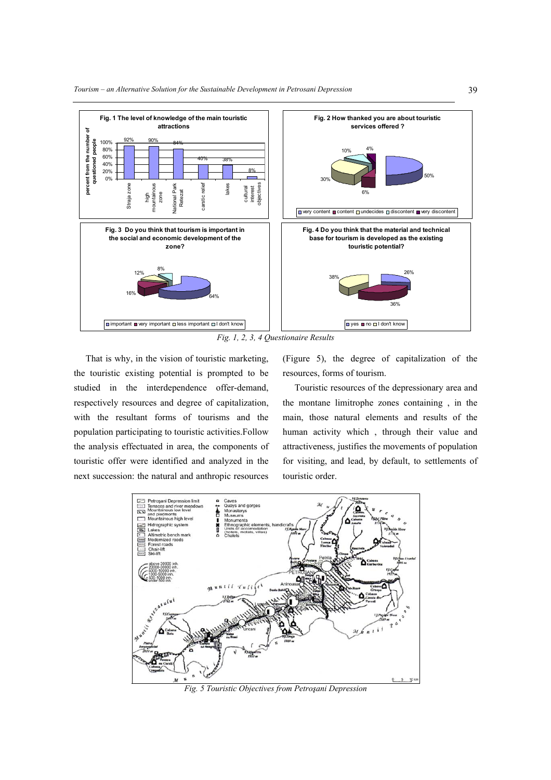

That is why, in the vision of touristic marketing, the touristic existing potential is prompted to be studied in the interdependence offer-demand, respectively resources and degree of capitalization, with the resultant forms of tourisms and the population participating to touristic activities.Follow the analysis effectuated in area, the components of touristic offer were identified and analyzed in the next succession: the natural and anthropic resources (Figure 5), the degree of capitalization of the resources, forms of tourism.

Touristic resources of the depressionary area and the montane limitrophe zones containing , in the main, those natural elements and results of the human activity which , through their value and attractiveness, justifies the movements of population for visiting, and lead, by default, to settlements of touristic order.



*Fig. 5 Touristic Objectives from Petro ani Depression*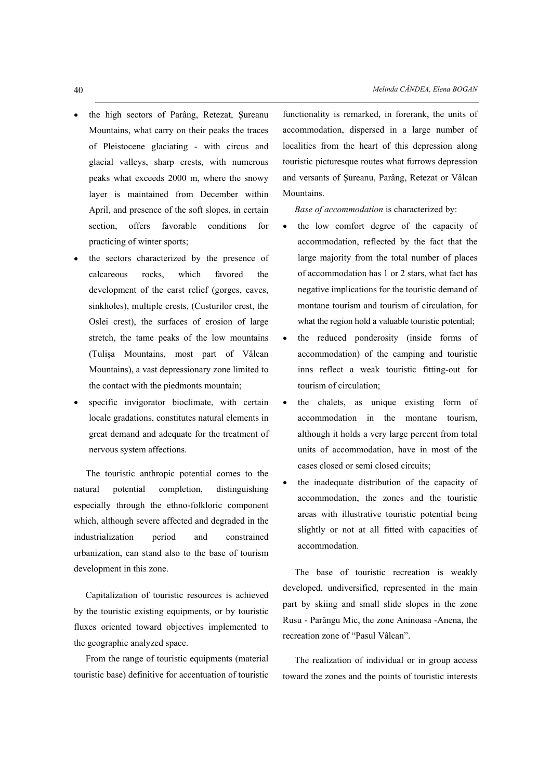- the high sectors of Parâng, Retezat, Şureanu Mountains, what carry on their peaks the traces of Pleistocene glaciating - with circus and glacial valleys, sharp crests, with numerous peaks what exceeds 2000 m, where the snowy layer is maintained from December within April, and presence of the soft slopes, in certain section, offers favorable conditions for practicing of winter sports;
- the sectors characterized by the presence of calcareous rocks, which favored the development of the carst relief (gorges, caves, sinkholes), multiple crests, (Custurilor crest, the Oslei crest), the surfaces of erosion of large stretch, the tame peaks of the low mountains (Tulisa Mountains, most part of Vâlcan Mountains), a vast depressionary zone limited to the contact with the piedmonts mountain;
- specific invigorator bioclimate, with certain locale gradations, constitutes natural elements in great demand and adequate for the treatment of nervous system affections.

The touristic anthropic potential comes to the natural potential completion, distinguishing especially through the ethno-folkloric component which, although severe affected and degraded in the industrialization period and constrained urbanization, can stand also to the base of tourism development in this zone.

Capitalization of touristic resources is achieved by the touristic existing equipments, or by touristic fluxes oriented toward objectives implemented to the geographic analyzed space.

From the range of touristic equipments (material touristic base) definitive for accentuation of touristic functionality is remarked, in forerank, the units of accommodation, dispersed in a large number of localities from the heart of this depression along touristic picturesque routes what furrows depression and versants of Şureanu, Parâng, Retezat or Vâlcan Mountains.

*Base of accommodation* is characterized by:

- the low comfort degree of the capacity of accommodation, reflected by the fact that the large majority from the total number of places of accommodation has 1 or 2 stars, what fact has negative implications for the touristic demand of montane tourism and tourism of circulation, for what the region hold a valuable touristic potential;
- the reduced ponderosity (inside forms of accommodation) of the camping and touristic inns reflect a weak touristic fitting-out for tourism of circulation;
- the chalets, as unique existing form of accommodation in the montane tourism, although it holds a very large percent from total units of accommodation, have in most of the cases closed or semi closed circuits;
- the inadequate distribution of the capacity of accommodation, the zones and the touristic areas with illustrative touristic potential being slightly or not at all fitted with capacities of accommodation.

The base of touristic recreation is weakly developed, undiversified, represented in the main part by skiing and small slide slopes in the zone Rusu - Parângu Mic, the zone Aninoasa -Anena, the recreation zone of "Pasul Vâlcan".

The realization of individual or in group access toward the zones and the points of touristic interests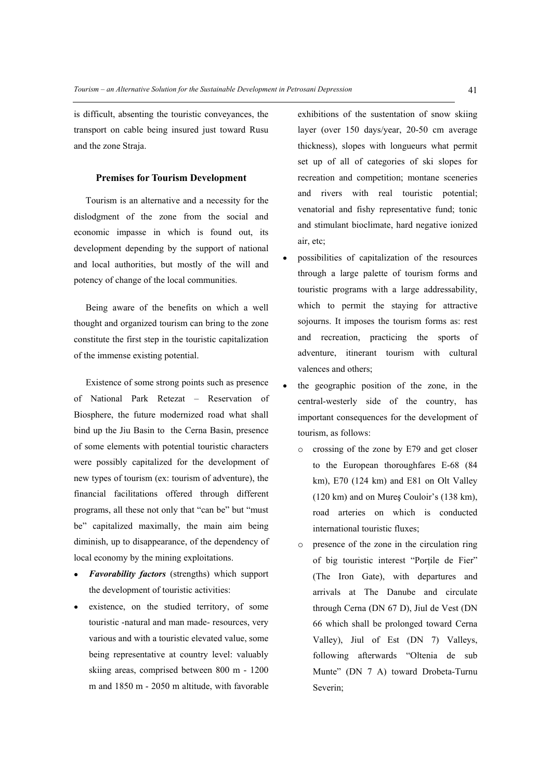is difficult, absenting the touristic conveyances, the transport on cable being insured just toward Rusu and the zone Straja.

### **Premises for Tourism Development**

Tourism is an alternative and a necessity for the dislodgment of the zone from the social and economic impasse in which is found out, its development depending by the support of national and local authorities, but mostly of the will and potency of change of the local communities.

Being aware of the benefits on which a well thought and organized tourism can bring to the zone constitute the first step in the touristic capitalization of the immense existing potential.

Existence of some strong points such as presence of National Park Retezat Reservation of Biosphere, the future modernized road what shall bind up the Jiu Basin to the Cerna Basin, presence of some elements with potential touristic characters were possibly capitalized for the development of new types of tourism (ex: tourism of adventure), the financial facilitations offered through different programs, all these not only that "can be" but "must be" capitalized maximally, the main aim being diminish, up to disappearance, of the dependency of local economy by the mining exploitations.

- *Favorability factors* (strengths) which support the development of touristic activities:
- existence, on the studied territory, of some touristic -natural and man made- resources, very various and with a touristic elevated value, some being representative at country level: valuably skiing areas, comprised between 800 m - 1200 m and 1850 m - 2050 m altitude, with favorable

exhibitions of the sustentation of snow skiing layer (over 150 days/year, 20-50 cm average thickness), slopes with longueurs what permit set up of all of categories of ski slopes for recreation and competition; montane sceneries and rivers with real touristic potential; venatorial and fishy representative fund; tonic and stimulant bioclimate, hard negative ionized air, etc;

- possibilities of capitalization of the resources through a large palette of tourism forms and touristic programs with a large addressability, which to permit the staying for attractive sojourns. It imposes the tourism forms as: rest and recreation, practicing the sports of adventure, itinerant tourism with cultural valences and others;
- the geographic position of the zone, in the central-westerly side of the country, has important consequences for the development of tourism, as follows:
	- o crossing of the zone by E79 and get closer to the European thoroughfares E-68 (84 km), E70 (124 km) and E81 on Olt Valley  $(120 \text{ km})$  and on Mures Couloir's  $(138 \text{ km})$ , road arteries on which is conducted international touristic fluxes;
	- o presence of the zone in the circulation ring of big touristic interest "Porțile de Fier" (The Iron Gate), with departures and arrivals at The Danube and circulate through Cerna (DN 67 D), Jiul de Vest (DN 66 which shall be prolonged toward Cerna Valley), Jiul of Est (DN 7) Valleys, following afterwards "Oltenia de sub Munte" (DN 7 A) toward Drobeta-Turnu Severin;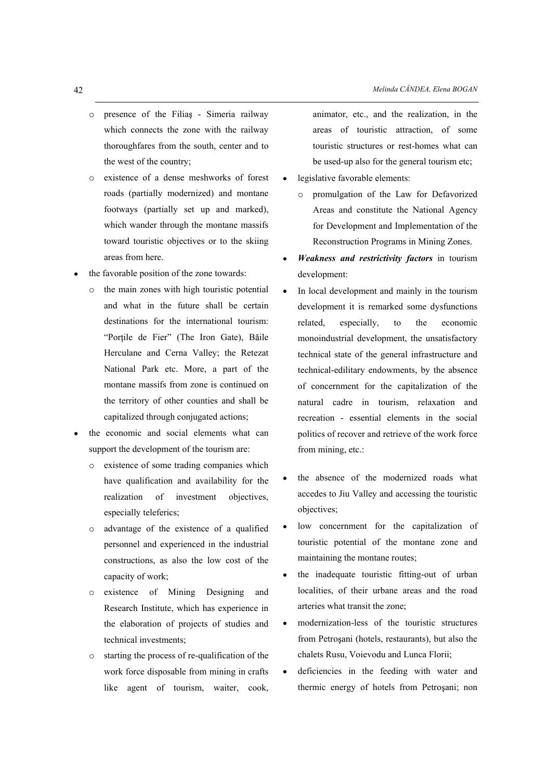- $\circ$  presence of the Filias Simeria railway which connects the zone with the railway thoroughfares from the south, center and to the west of the country;
- o existence of a dense meshworks of forest roads (partially modernized) and montane footways (partially set up and marked), which wander through the montane massifs toward touristic objectives or to the skiing areas from here.
- the favorable position of the zone towards:
	- o the main zones with high touristic potential and what in the future shall be certain destinations for the international tourism: "Porțile de Fier" (The Iron Gate), Băile Herculane and Cerna Valley; the Retezat National Park etc. More, a part of the montane massifs from zone is continued on the territory of other counties and shall be capitalized through conjugated actions;
- the economic and social elements what can support the development of the tourism are:
	- o existence of some trading companies which have qualification and availability for the realization of investment objectives, especially teleferics;
	- o advantage of the existence of a qualified personnel and experienced in the industrial constructions, as also the low cost of the capacity of work;
	- o existence of Mining Designing and Research Institute, which has experience in the elaboration of projects of studies and technical investments;
	- $\circ$  starting the process of re-qualification of the work force disposable from mining in crafts like agent of tourism, waiter, cook,

animator, etc., and the realization, in the areas of touristic attraction, of some touristic structures or rest-homes what can be used-up also for the general tourism etc;

- legislative favorable elements:
	- o promulgation of the Law for Defavorized Areas and constitute the National Agency for Development and Implementation of the Reconstruction Programs in Mining Zones.
- *Weakness and restrictivity factors* in tourism development:
- In local development and mainly in the tourism development it is remarked some dysfunctions related, especially, to the economic monoindustrial development, the unsatisfactory technical state of the general infrastructure and technical-edilitary endowments, by the absence of concernment for the capitalization of the natural cadre in tourism, relaxation and recreation - essential elements in the social politics of recover and retrieve of the work force from mining, etc.:
- the absence of the modernized roads what accedes to Jiu Valley and accessing the touristic objectives;
- low concernment for the capitalization of touristic potential of the montane zone and maintaining the montane routes;
- the inadequate touristic fitting-out of urban localities, of their urbane areas and the road arteries what transit the zone;
- modernization-less of the touristic structures  $\bullet$ from Petroșani (hotels, restaurants), but also the chalets Rusu, Voievodu and Lunca Florii;
- deficiencies in the feeding with water and  $\bullet$ thermic energy of hotels from Petrosani; non